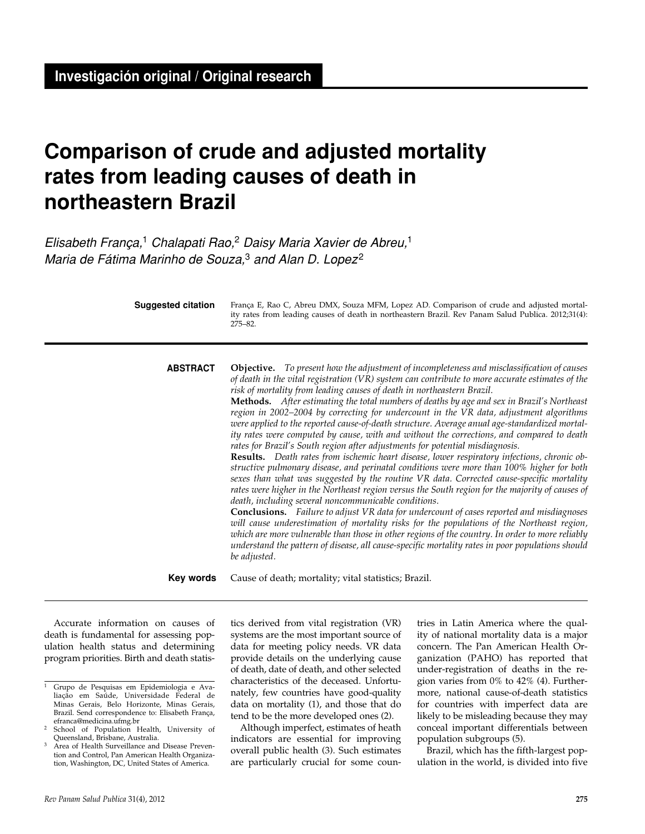# **Comparison of crude and adjusted mortality rates from leading causes of death in northeastern Brazil**

*Elisabeth França,*1 *Chalapati Rao,*2 *Daisy Maria Xavier de Abreu,*<sup>1</sup> *Maria de Fátima Marinho de Souza,*3 *and Alan D. Lopez* <sup>2</sup>

França E, Rao C, Abreu DMX, Souza MFM, Lopez AD. Comparison of crude and adjusted mortality rates from leading causes of death in northeastern Brazil. Rev Panam Salud Publica. 2012;31(4): 275–82. **Suggested citation Objective.** *To present how the adjustment of incompleteness and misclassification of causes of death in the vital registration (VR) system can contribute to more accurate estimates of the risk of mortality from leading causes of death in northeastern Brazil.* **Methods.** *After estimating the total numbers of deaths by age and sex in Brazil's Northeast region in 2002–2004 by correcting for undercount in the VR data, adjustment algorithms were applied to the reported cause-of-death structure. Average anual age-standardized mortality rates were computed by cause, with and without the corrections, and compared to death rates for Brazil's South region after adjustments for potential misdiagnosis.*  **Results.** *Death rates from ischemic heart disease, lower respiratory infections, chronic obstructive pulmonary disease, and perinatal conditions were more than 100% higher for both sexes than what was suggested by the routine VR data. Corrected cause-specific mortality rates were higher in the Northeast region versus the South region for the majority of causes of death, including several noncommunicable conditions.* **Conclusions.** *Failure to adjust VR data for undercount of cases reported and misdiagnoses*  will cause underestimation of mortality risks for the populations of the Northeast region, *which are more vulnerable than those in other regions of the country. In order to more reliably understand the pattern of disease, all cause-specific mortality rates in poor populations should be adjusted.* Cause of death; mortality; vital statistics; Brazil. **ABSTRACT Key words**

Accurate information on causes of death is fundamental for assessing population health status and determining program priorities. Birth and death statis-

tics derived from vital registration (VR) systems are the most important source of data for meeting policy needs. VR data provide details on the underlying cause of death, date of death, and other selected characteristics of the deceased. Unfortunately, few countries have good-quality data on mortality (1), and those that do tend to be the more developed ones (2).

Although imperfect, estimates of heath indicators are essential for improving overall public health (3). Such estimates are particularly crucial for some coun-

tries in Latin America where the quality of national mortality data is a major concern. The Pan American Health Organization (PAHO) has reported that under-registration of deaths in the region varies from 0% to 42% (4). Furthermore, national cause-of-death statistics for countries with imperfect data are likely to be misleading because they may conceal important differentials between population subgroups (5).

Brazil, which has the fifth-largest population in the world, is divided into five

<sup>1</sup> Grupo de Pesquisas em Epidemiologia e Avaliação em Saúde, Universidade Federal de Minas Gerais, Belo Horizonte, Minas Gerais, Brazil. Send correspondence to: Elisabeth França, efranca@medicina.ufmg.br

School of Population Health, University of Queensland, Brisbane, Australia.

Area of Health Surveillance and Disease Prevention and Control, Pan American Health Organization, Washington, DC, United States of America.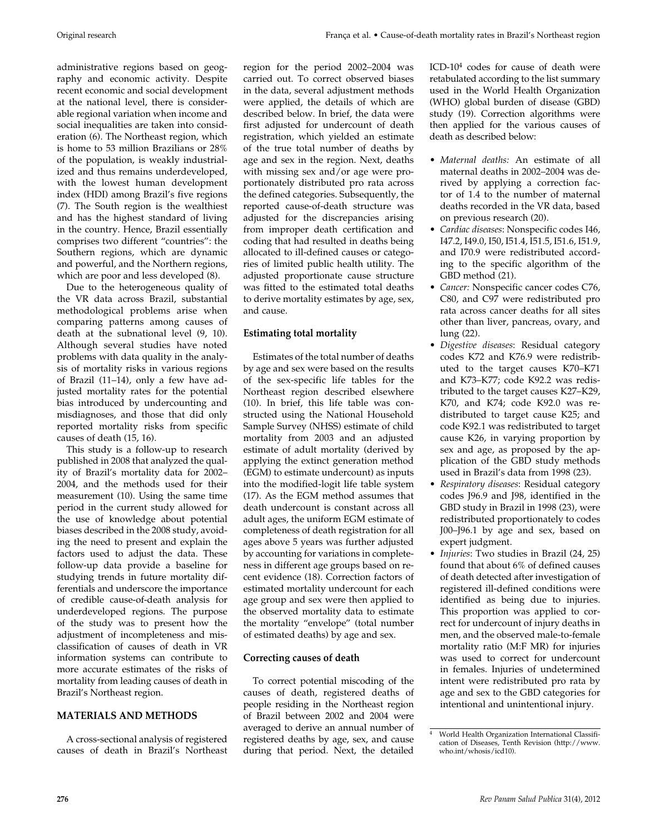administrative regions based on geography and economic activity. Despite recent economic and social development at the national level, there is considerable regional variation when income and social inequalities are taken into consideration (6). The Northeast region, which is home to 53 million Brazilians or 28% of the population, is weakly industrialized and thus remains underdeveloped, with the lowest human development index (HDI) among Brazil's five regions (7). The South region is the wealthiest and has the highest standard of living in the country. Hence, Brazil essentially comprises two different "countries": the Southern regions, which are dynamic and powerful, and the Northern regions, which are poor and less developed (8).

Due to the heterogeneous quality of the VR data across Brazil, substantial methodological problems arise when comparing patterns among causes of death at the subnational level (9, 10). Although several studies have noted problems with data quality in the analysis of mortality risks in various regions of Brazil (11–14), only a few have adjusted mortality rates for the potential bias introduced by undercounting and misdiagnoses, and those that did only reported mortality risks from specific causes of death (15, 16).

This study is a follow-up to research published in 2008 that analyzed the quality of Brazil's mortality data for 2002– 2004, and the methods used for their measurement (10). Using the same time period in the current study allowed for the use of knowledge about potential biases described in the 2008 study, avoiding the need to present and explain the factors used to adjust the data. These follow-up data provide a baseline for studying trends in future mortality differentials and underscore the importance of credible cause-of-death analysis for underdeveloped regions. The purpose of the study was to present how the adjustment of incompleteness and misclassification of causes of death in VR information systems can contribute to more accurate estimates of the risks of mortality from leading causes of death in Brazil's Northeast region.

## **MATERIALS AND METHODS**

A cross-sectional analysis of registered causes of death in Brazil's Northeast region for the period 2002–2004 was carried out. To correct observed biases in the data, several adjustment methods were applied, the details of which are described below. In brief, the data were first adjusted for undercount of death registration, which yielded an estimate of the true total number of deaths by age and sex in the region. Next, deaths with missing sex and/or age were proportionately distributed pro rata across the defined categories. Subsequently, the reported cause-of-death structure was adjusted for the discrepancies arising from improper death certification and coding that had resulted in deaths being allocated to ill-defined causes or categories of limited public health utility. The adjusted proportionate cause structure was fitted to the estimated total deaths to derive mortality estimates by age, sex, and cause.

## **Estimating total mortality**

Estimates of the total number of deaths by age and sex were based on the results of the sex-specific life tables for the Northeast region described elsewhere (10). In brief, this life table was constructed using the National Household Sample Survey (NHSS) estimate of child mortality from 2003 and an adjusted estimate of adult mortality (derived by applying the extinct generation method (EGM) to estimate undercount) as inputs into the modified-logit life table system (17). As the EGM method assumes that death undercount is constant across all adult ages, the uniform EGM estimate of completeness of death registration for all ages above 5 years was further adjusted by accounting for variations in completeness in different age groups based on recent evidence (18). Correction factors of estimated mortality undercount for each age group and sex were then applied to the observed mortality data to estimate the mortality "envelope" (total number of estimated deaths) by age and sex.

## **Correcting causes of death**

To correct potential miscoding of the causes of death, registered deaths of people residing in the Northeast region of Brazil between 2002 and 2004 were averaged to derive an annual number of registered deaths by age, sex, and cause during that period. Next, the detailed

ICD- $10<sup>4</sup>$  codes for cause of death were retabulated according to the list summary used in the World Health Organization (WHO) global burden of disease (GBD) study (19). Correction algorithms were then applied for the various causes of death as described below:

- • *Maternal deaths:* An estimate of all maternal deaths in 2002–2004 was derived by applying a correction factor of 1.4 to the number of maternal deaths recorded in the VR data, based on previous research (20).
- • *Cardiac diseases*: Nonspecific codes I46, I47.2, I49.0, I50, I51.4, I51.5, I51.6, I51.9, and I70.9 were redistributed according to the specific algorithm of the GBD method (21).
- • *Cancer:* Nonspecific cancer codes C76, C80, and C97 were redistributed pro rata across cancer deaths for all sites other than liver, pancreas, ovary, and lung (22).
- • *Digestive diseases*: Residual category codes K72 and K76.9 were redistributed to the target causes K70–K71 and K73–K77; code K92.2 was redistributed to the target causes K27–K29, K70, and K74; code K92.0 was redistributed to target cause K25; and code K92.1 was redistributed to target cause K26, in varying proportion by sex and age, as proposed by the application of the GBD study methods used in Brazil's data from 1998 (23).
- • *Respiratory diseases*: Residual category codes J96.9 and J98, identified in the GBD study in Brazil in 1998 (23), were redistributed proportionately to codes J00–J96.1 by age and sex, based on expert judgment.
- • *Injuries*: Two studies in Brazil (24, 25) found that about 6% of defined causes of death detected after investigation of registered ill-defined conditions were identified as being due to injuries. This proportion was applied to correct for undercount of injury deaths in men, and the observed male-to-female mortality ratio (M:F MR) for injuries was used to correct for undercount in females. Injuries of undetermined intent were redistributed pro rata by age and sex to the GBD categories for intentional and unintentional injury.

<sup>4</sup> World Health Organization International Classification of Diseases, Tenth Revision (http://www. who.int/whosis/icd10).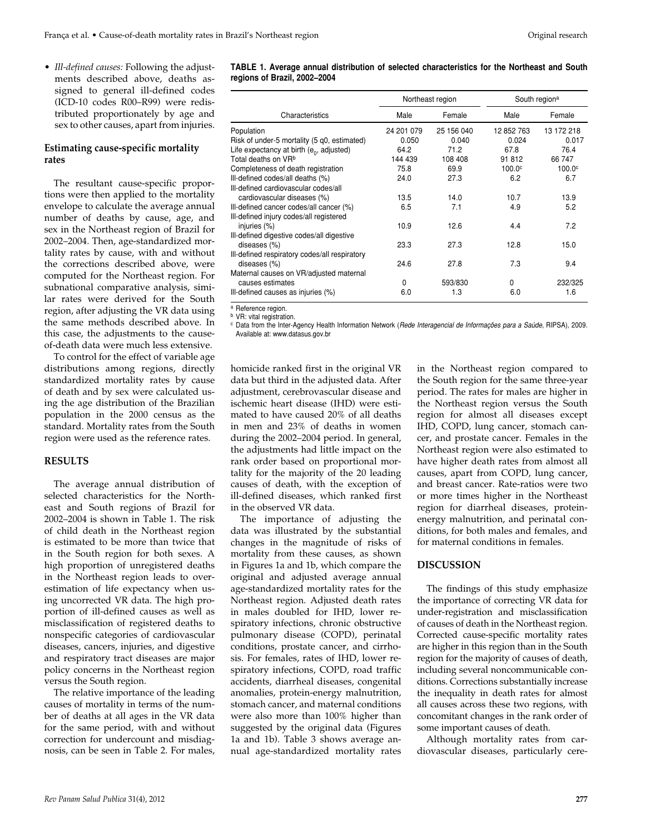• *Ill-defined causes:* Following the adjustments described above, deaths assigned to general ill-defined codes (ICD-10 codes R00–R99) were redistributed proportionately by age and sex to other causes, apart from injuries.

## **Estimating cause-specific mortality rates**

The resultant cause-specific proportions were then applied to the mortality envelope to calculate the average annual number of deaths by cause, age, and sex in the Northeast region of Brazil for 2002–2004. Then, age-standardized mortality rates by cause, with and without the corrections described above, were computed for the Northeast region. For subnational comparative analysis, similar rates were derived for the South region, after adjusting the VR data using the same methods described above. In this case, the adjustments to the causeof-death data were much less extensive.

To control for the effect of variable age distributions among regions, directly standardized mortality rates by cause of death and by sex were calculated using the age distribution of the Brazilian population in the 2000 census as the standard. Mortality rates from the South region were used as the reference rates.

#### **RESULTS**

The average annual distribution of selected characteristics for the Northeast and South regions of Brazil for 2002–2004 is shown in Table 1. The risk of child death in the Northeast region is estimated to be more than twice that in the South region for both sexes. A high proportion of unregistered deaths in the Northeast region leads to overestimation of life expectancy when using uncorrected VR data. The high proportion of ill-defined causes as well as misclassification of registered deaths to nonspecific categories of cardiovascular diseases, cancers, injuries, and digestive and respiratory tract diseases are major policy concerns in the Northeast region versus the South region.

The relative importance of the leading causes of mortality in terms of the number of deaths at all ages in the VR data for the same period, with and without correction for undercount and misdiagnosis, can be seen in Table 2. For males,

|                                               |            | Northeast region | South region <sup>a</sup> |                    |  |
|-----------------------------------------------|------------|------------------|---------------------------|--------------------|--|
| Characteristics                               | Male       | Female           | Male                      | Female             |  |
| Population                                    | 24 201 079 | 25 156 040       | 12 852 763                | 13 172 218         |  |
| Risk of under-5 mortality (5 q0, estimated)   | 0.050      | 0.040            | 0.024                     | 0.017              |  |
| Life expectancy at birth $(e_0, adjusted)$    | 64.2       | 71.2             | 67.8                      | 76.4               |  |
| Total deaths on VR <sup>b</sup>               | 144 439    | 108 408          | 91812                     | 66747              |  |
| Completeness of death registration            | 75.8       | 69.9             | 100.0 <sup>c</sup>        | 100.0 <sup>c</sup> |  |
| III-defined codes/all deaths (%)              | 24.0       | 27.3             | 6.2                       | 6.7                |  |
| III-defined cardiovascular codes/all          |            |                  |                           |                    |  |
| cardiovascular diseases (%)                   | 13.5       | 14.0             | 10.7                      | 13.9               |  |
| Ill-defined cancer codes/all cancer (%)       | 6.5        | 7.1              | 4.9                       | 5.2                |  |
| III-defined injury codes/all registered       |            |                  |                           |                    |  |
| injuries (%)                                  | 10.9       | 12.6             | 4.4                       | 7.2                |  |
| III-defined digestive codes/all digestive     |            |                  |                           |                    |  |
| diseases (%)                                  | 23.3       | 27.3             | 12.8                      | 15.0               |  |
| III-defined respiratory codes/all respiratory |            |                  |                           |                    |  |
| diseases (%)                                  | 24.6       | 27.8             | 7.3                       | 9.4                |  |
| Maternal causes on VR/adjusted maternal       |            |                  |                           |                    |  |
| causes estimates                              | 0          | 593/830          | 0                         | 232/325            |  |
| III-defined causes as injuries (%)            | 6.0        | 1.3              | 6.0                       | 1.6                |  |

**TABLE 1. Average annual distribution of selected characteristics for the Northeast and South** 

<sup>a</sup> Reference region.

**b** VR: vital registration.

**regions of Brazil, 2002–2004**

<sup>c</sup> Data from the Inter-Agency Health Information Network (*Rede Interagencial de Informações para a Saúde*, RIPSA), 2009. Available at: www.datasus.gov.br

homicide ranked first in the original VR data but third in the adjusted data. After adjustment, cerebrovascular disease and ischemic heart disease (IHD) were estimated to have caused 20% of all deaths in men and 23% of deaths in women during the 2002–2004 period. In general, the adjustments had little impact on the rank order based on proportional mortality for the majority of the 20 leading causes of death, with the exception of ill-defined diseases, which ranked first in the observed VR data.

The importance of adjusting the data was illustrated by the substantial changes in the magnitude of risks of mortality from these causes, as shown in Figures 1a and 1b, which compare the original and adjusted average annual age-standardized mortality rates for the Northeast region. Adjusted death rates in males doubled for IHD, lower respiratory infections, chronic obstructive pulmonary disease (COPD), perinatal conditions, prostate cancer, and cirrhosis. For females, rates of IHD, lower respiratory infections, COPD, road traffic accidents, diarrheal diseases, congenital anomalies, protein-energy malnutrition, stomach cancer, and maternal conditions were also more than 100% higher than suggested by the original data (Figures 1a and 1b). Table 3 shows average annual age-standardized mortality rates

in the Northeast region compared to the South region for the same three-year period. The rates for males are higher in the Northeast region versus the South region for almost all diseases except IHD, COPD, lung cancer, stomach cancer, and prostate cancer. Females in the Northeast region were also estimated to have higher death rates from almost all causes, apart from COPD, lung cancer, and breast cancer. Rate-ratios were two or more times higher in the Northeast region for diarrheal diseases, proteinenergy malnutrition, and perinatal conditions, for both males and females, and for maternal conditions in females.

#### **DISCUSSION**

The findings of this study emphasize the importance of correcting VR data for under-registration and misclassification of causes of death in the Northeast region. Corrected cause-specific mortality rates are higher in this region than in the South region for the majority of causes of death, including several noncommunicable conditions. Corrections substantially increase the inequality in death rates for almost all causes across these two regions, with concomitant changes in the rank order of some important causes of death.

Although mortality rates from cardiovascular diseases, particularly cere-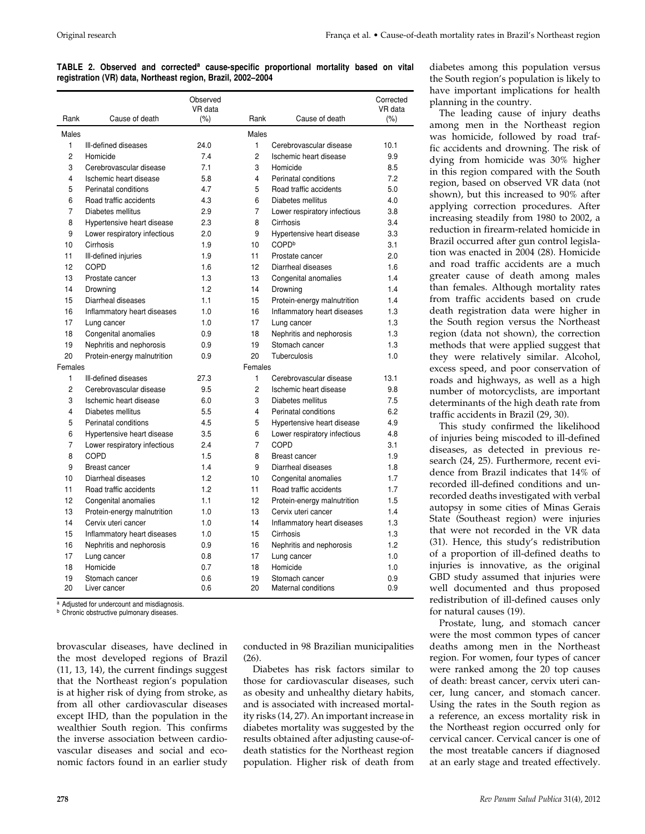|  |  | TABLE 2. Observed and corrected <sup>a</sup> cause-specific proportional mortality based on vital |  |  |  |
|--|--|---------------------------------------------------------------------------------------------------|--|--|--|
|  |  | registration (VR) data, Northeast region, Brazil, 2002-2004                                       |  |  |  |

|         |                              | Observed<br>VR data |                |                              | Corrected<br>VR data |
|---------|------------------------------|---------------------|----------------|------------------------------|----------------------|
| Rank    | Cause of death               | (% )                | Rank           | Cause of death               | (%)                  |
| Males   |                              |                     | Males          |                              |                      |
| 1       | Ill-defined diseases         | 24.0                | $\mathbf{1}$   | Cerebrovascular disease      | 10.1                 |
| 2       | Homicide                     | 7.4                 | 2              | Ischemic heart disease       | 9.9                  |
| 3       | Cerebrovascular disease      | 7.1                 | 3              | Homicide                     | 8.5                  |
| 4       | Ischemic heart disease       | 5.8                 | 4              | Perinatal conditions         | 7.2                  |
| 5       | Perinatal conditions         | 4.7                 | 5              | Road traffic accidents       | 5.0                  |
| 6       | Road traffic accidents       | 4.3                 | 6              | Diabetes mellitus            | 4.0                  |
| 7       | Diabetes mellitus            | 2.9                 | 7              | Lower respiratory infectious | 3.8                  |
| 8       | Hypertensive heart disease   | 2.3                 | 8              | Cirrhosis                    | 3.4                  |
| 9       | Lower respiratory infectious | 2.0                 | 9              | Hypertensive heart disease   | 3.3                  |
| 10      | Cirrhosis                    | 1.9                 | 10             | COPD <sup>b</sup>            | 3.1                  |
| 11      | III-defined injuries         | 1.9                 | 11             | Prostate cancer              | 2.0                  |
| 12      | COPD                         | 1.6                 | 12             | Diarrheal diseases           | 1.6                  |
| 13      | Prostate cancer              | 1.3                 | 13             | Congenital anomalies         | 1.4                  |
| 14      | Drowning                     | 1.2                 | 14             | Drowning                     | 1.4                  |
| 15      | Diarrheal diseases           | 1.1                 | 15             | Protein-energy malnutrition  | 1.4                  |
| 16      | Inflammatory heart diseases  | 1.0                 | 16             | Inflammatory heart diseases  | 1.3                  |
| 17      | Lung cancer                  | 1.0                 | 17             | Lung cancer                  | 1.3                  |
| 18      | Congenital anomalies         | 0.9                 | 18             | Nephritis and nephorosis     | 1.3                  |
| 19      | Nephritis and nephorosis     | 0.9                 | 19             | Stomach cancer               | 1.3                  |
| 20      | Protein-energy malnutrition  | 0.9                 | 20             | Tuberculosis                 | 1.0                  |
| Females |                              |                     | Females        |                              |                      |
| 1       | Ill-defined diseases         | 27.3                | 1              | Cerebrovascular disease      | 13.1                 |
| 2       | Cerebrovascular disease      | 9.5                 | $\overline{2}$ | Ischemic heart disease       | 9.8                  |
| 3       | Ischemic heart disease       | 6.0                 | 3              | Diabetes mellitus            | 7.5                  |
| 4       | Diabetes mellitus            | 5.5                 | 4              | Perinatal conditions         | 6.2                  |
| 5       | Perinatal conditions         | 4.5                 | 5              | Hypertensive heart disease   | 4.9                  |
| 6       | Hypertensive heart disease   | 3.5                 | 6              | Lower respiratory infectious | 4.8                  |
| 7       | Lower respiratory infectious | 2.4                 | $\overline{7}$ | <b>COPD</b>                  | 3.1                  |
| 8       | <b>COPD</b>                  | 1.5                 | 8              | <b>Breast cancer</b>         | 1.9                  |
| 9       | Breast cancer                | 1.4                 | 9              | Diarrheal diseases           | 1.8                  |
| 10      | Diarrheal diseases           | 1.2                 | 10             | Congenital anomalies         | 1.7                  |
| 11      | Road traffic accidents       | 1.2                 | 11             | Road traffic accidents       | 1.7                  |
| 12      | Congenital anomalies         | 1.1                 | 12             | Protein-energy malnutrition  | 1.5                  |
| 13      | Protein-energy malnutrition  | 1.0                 | 13             | Cervix uteri cancer          | 1.4                  |
| 14      | Cervix uteri cancer          | 1.0                 | 14             | Inflammatory heart diseases  | 1.3                  |
| 15      | Inflammatory heart diseases  | 1.0                 | 15             | Cirrhosis                    | 1.3                  |
| 16      | Nephritis and nephorosis     | 0.9                 | 16             | Nephritis and nephorosis     | 1.2                  |
| 17      | Lung cancer                  | 0.8                 | 17             | Lung cancer                  | 1.0                  |
| 18      | Homicide                     | 0.7                 | 18             | Homicide                     | 1.0                  |
| 19      | Stomach cancer               | 0.6                 | 19             | Stomach cancer               | 0.9                  |
| 20      | Liver cancer                 | 0.6                 | 20             | Maternal conditions          | 0.9                  |

Adjusted for undercount and misdiagnosis.

**b** Chronic obstructive pulmonary diseases.

brovascular diseases, have declined in the most developed regions of Brazil (11, 13, 14), the current findings suggest that the Northeast region's population is at higher risk of dying from stroke, as from all other cardiovascular diseases except IHD, than the population in the wealthier South region. This confirms the inverse association between cardiovascular diseases and social and economic factors found in an earlier study

conducted in 98 Brazilian municipalities  $(26)$ .

Diabetes has risk factors similar to those for cardiovascular diseases, such as obesity and unhealthy dietary habits, and is associated with increased mortality risks (14, 27). An important increase in diabetes mortality was suggested by the results obtained after adjusting cause-ofdeath statistics for the Northeast region population. Higher risk of death from

diabetes among this population versus the South region's population is likely to have important implications for health planning in the country.

The leading cause of injury deaths among men in the Northeast region was homicide, followed by road traffic accidents and drowning. The risk of dying from homicide was 30% higher in this region compared with the South region, based on observed VR data (not shown), but this increased to 90% after applying correction procedures. After increasing steadily from 1980 to 2002, a reduction in firearm-related homicide in Brazil occurred after gun control legislation was enacted in 2004 (28). Homicide and road traffic accidents are a much greater cause of death among males than females. Although mortality rates from traffic accidents based on crude death registration data were higher in the South region versus the Northeast region (data not shown), the correction methods that were applied suggest that they were relatively similar. Alcohol, excess speed, and poor conservation of roads and highways, as well as a high number of motorcyclists, are important determinants of the high death rate from traffic accidents in Brazil (29, 30).

This study confirmed the likelihood of injuries being miscoded to ill-defined diseases, as detected in previous research (24, 25). Furthermore, recent evidence from Brazil indicates that 14% of recorded ill-defined conditions and unrecorded deaths investigated with verbal autopsy in some cities of Minas Gerais State (Southeast region) were injuries that were not recorded in the VR data (31). Hence, this study's redistribution of a proportion of ill-defined deaths to injuries is innovative, as the original GBD study assumed that injuries were well documented and thus proposed redistribution of ill-defined causes only for natural causes (19).

Prostate, lung, and stomach cancer were the most common types of cancer deaths among men in the Northeast region. For women, four types of cancer were ranked among the 20 top causes of death: breast cancer, cervix uteri cancer, lung cancer, and stomach cancer. Using the rates in the South region as a reference, an excess mortality risk in the Northeast region occurred only for cervical cancer. Cervical cancer is one of the most treatable cancers if diagnosed at an early stage and treated effectively.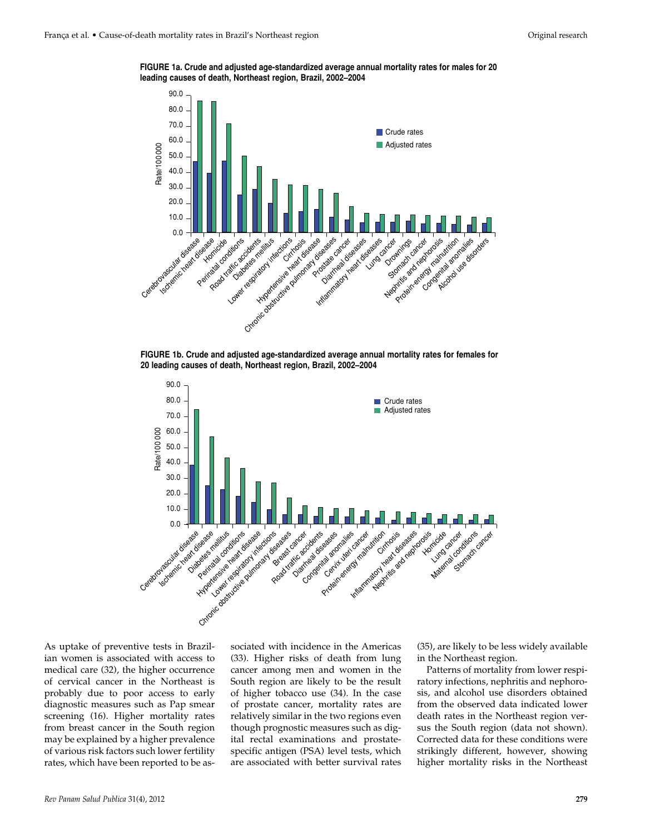**FIGURE 1a. Crude and adjusted age-standardized average annual mortality rates for males for 20 leading causes of death, Northeast region, Brazil, 2002–2004**



**FIGURE 1b. Crude and adjusted age-standardized average annual mortality rates for females for 20 leading causes of death, Northeast region, Brazil, 2002–2004**



As uptake of preventive tests in Brazilian women is associated with access to medical care (32), the higher occurrence of cervical cancer in the Northeast is probably due to poor access to early diagnostic measures such as Pap smear screening (16). Higher mortality rates from breast cancer in the South region may be explained by a higher prevalence of various risk factors such lower fertility rates, which have been reported to be associated with incidence in the Americas (33). Higher risks of death from lung cancer among men and women in the South region are likely to be the result of higher tobacco use (34). In the case of prostate cancer, mortality rates are relatively similar in the two regions even though prognostic measures such as digital rectal examinations and prostatespecific antigen (PSA) level tests, which are associated with better survival rates

(35), are likely to be less widely available in the Northeast region.

Patterns of mortality from lower respiratory infections, nephritis and nephorosis, and alcohol use disorders obtained from the observed data indicated lower death rates in the Northeast region versus the South region (data not shown). Corrected data for these conditions were strikingly different, however, showing higher mortality risks in the Northeast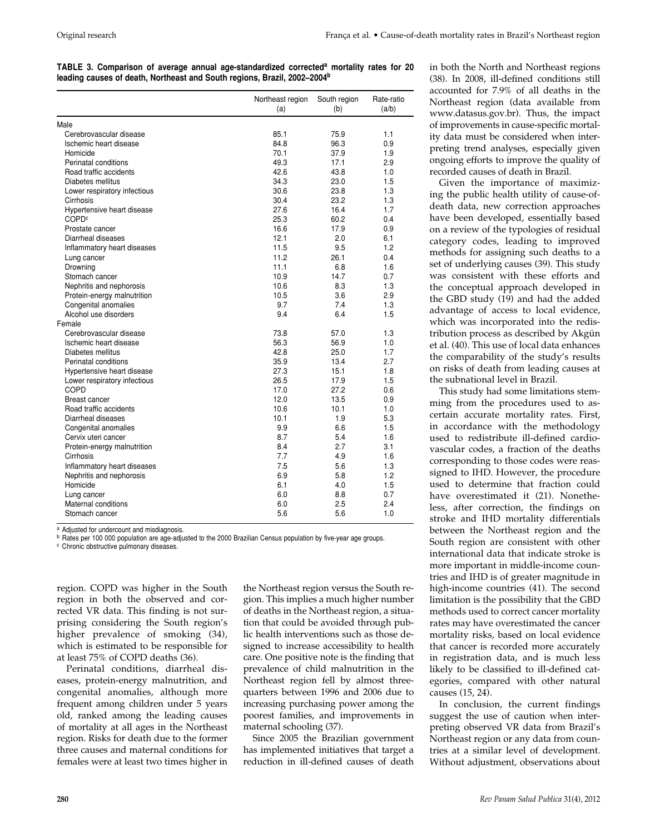|  |  | TABLE 3. Comparison of average annual age-standardized corrected <sup>a</sup> mortality rates for 20 |  |  |  |
|--|--|------------------------------------------------------------------------------------------------------|--|--|--|
|  |  | leading causes of death, Northeast and South regions, Brazil, 2002–2004 <sup>b</sup>                 |  |  |  |

|                              | Northeast region<br>(a) | South region<br>(b) | Rate-ratio<br>(a/b) |
|------------------------------|-------------------------|---------------------|---------------------|
| Male                         |                         |                     |                     |
| Cerebrovascular disease      | 85.1                    | 75.9                | 1.1                 |
| Ischemic heart disease       | 84.8                    | 96.3                | 0.9                 |
| Homicide                     | 70.1                    | 37.9                | 1.9                 |
| Perinatal conditions         | 49.3                    | 17.1                | 2.9                 |
| Road traffic accidents       | 42.6                    | 43.8                | 1.0                 |
| Diabetes mellitus            | 34.3                    | 23.0                | 1.5                 |
| Lower respiratory infectious | 30.6                    | 23.8                | 1.3                 |
| Cirrhosis                    | 30.4                    | 23.2                | 1.3                 |
| Hypertensive heart disease   | 27.6                    | 16.4                | 1.7                 |
| COPD <sup>c</sup>            | 25.3                    | 60.2                | 0.4                 |
| Prostate cancer              | 16.6                    | 17.9                | 0.9                 |
| Diarrheal diseases           | 12.1                    | 2.0                 | 6.1                 |
| Inflammatory heart diseases  | 11.5                    | 9.5                 | 1.2                 |
| Lung cancer                  | 11.2                    | 26.1                | 0.4                 |
| Drowning                     | 11.1                    | 6.8                 | 1.6                 |
| Stomach cancer               | 10.9                    | 14.7                | 0.7                 |
| Nephritis and nephorosis     | 10.6                    | 8.3                 | 1.3                 |
| Protein-energy malnutrition  | 10.5                    | 3.6                 | 2.9                 |
| Congenital anomalies         | 9.7                     | 7.4                 | 1.3                 |
| Alcohol use disorders        | 9.4                     | 6.4                 | 1.5                 |
| Female                       |                         |                     |                     |
| Cerebrovascular disease      | 73.8                    | 57.0                | 1.3                 |
| Ischemic heart disease       | 56.3                    | 56.9                | 1.0                 |
| Diabetes mellitus            | 42.8                    | 25.0                | 1.7                 |
| Perinatal conditions         | 35.9                    | 13.4                | 2.7                 |
| Hypertensive heart disease   | 27.3                    | 15.1                | 1.8                 |
| Lower respiratory infectious | 26.5                    | 17.9                | 1.5                 |
| COPD                         | 17.0                    | 27.2                | 0.6                 |
| <b>Breast cancer</b>         | 12.0                    | 13.5                | 0.9                 |
| Road traffic accidents       | 10.6                    | 10.1                | 1.0                 |
| Diarrheal diseases           | 10.1                    | 1.9                 | 5.3                 |
| Congenital anomalies         | 9.9                     | 6.6                 | 1.5                 |
| Cervix uteri cancer          | 8.7                     | 5.4                 | 1.6                 |
| Protein-energy malnutrition  | 8.4                     | 2.7                 | 3.1                 |
| Cirrhosis                    | 7.7                     | 4.9                 | 1.6                 |
| Inflammatory heart diseases  | 7.5                     | 5.6                 | 1.3                 |
| Nephritis and nephorosis     | 6.9                     | 5.8                 | 1.2                 |
| Homicide                     | 6.1                     | 4.0                 | 1.5                 |
| Lung cancer                  | 6.0                     | 8.8                 | 0.7                 |
| Maternal conditions          | 6.0                     | 2.5                 | 2.4                 |
| Stomach cancer               | 5.6                     | 5.6                 | 1.0                 |

a Adjusted for undercount and misdiagnosis.

b Rates per 100 000 population are age-adjusted to the 2000 Brazilian Census population by five-year age groups.

<sup>c</sup> Chronic obstructive pulmonary diseases.

region. COPD was higher in the South region in both the observed and corrected VR data. This finding is not surprising considering the South region's higher prevalence of smoking (34), which is estimated to be responsible for at least 75% of COPD deaths (36).

Perinatal conditions, diarrheal diseases, protein-energy malnutrition, and congenital anomalies, although more frequent among children under 5 years old, ranked among the leading causes of mortality at all ages in the Northeast region. Risks for death due to the former three causes and maternal conditions for females were at least two times higher in

the Northeast region versus the South region. This implies a much higher number of deaths in the Northeast region, a situation that could be avoided through public health interventions such as those designed to increase accessibility to health care. One positive note is the finding that prevalence of child malnutrition in the Northeast region fell by almost threequarters between 1996 and 2006 due to increasing purchasing power among the poorest families, and improvements in maternal schooling (37).

Since 2005 the Brazilian government has implemented initiatives that target a reduction in ill-defined causes of death in both the North and Northeast regions (38). In 2008, ill-defined conditions still accounted for 7.9% of all deaths in the Northeast region (data available from www.datasus.gov.br). Thus, the impact of improvements in cause-specific mortality data must be considered when interpreting trend analyses, especially given ongoing efforts to improve the quality of recorded causes of death in Brazil.

Given the importance of maximizing the public health utility of cause-ofdeath data, new correction approaches have been developed, essentially based on a review of the typologies of residual category codes, leading to improved methods for assigning such deaths to a set of underlying causes (39). This study was consistent with these efforts and the conceptual approach developed in the GBD study (19) and had the added advantage of access to local evidence, which was incorporated into the redistribution process as described by Akgün et al. (40). This use of local data enhances the comparability of the study's results on risks of death from leading causes at the subnational level in Brazil.

This study had some limitations stemming from the procedures used to ascertain accurate mortality rates. First, in accordance with the methodology used to redistribute ill-defined cardiovascular codes, a fraction of the deaths corresponding to those codes were reassigned to IHD. However, the procedure used to determine that fraction could have overestimated it (21). Nonetheless, after correction, the findings on stroke and IHD mortality differentials between the Northeast region and the South region are consistent with other international data that indicate stroke is more important in middle-income countries and IHD is of greater magnitude in high-income countries (41). The second limitation is the possibility that the GBD methods used to correct cancer mortality rates may have overestimated the cancer mortality risks, based on local evidence that cancer is recorded more accurately in registration data, and is much less likely to be classified to ill-defined categories, compared with other natural causes (15, 24).

In conclusion, the current findings suggest the use of caution when interpreting observed VR data from Brazil's Northeast region or any data from countries at a similar level of development. Without adjustment, observations about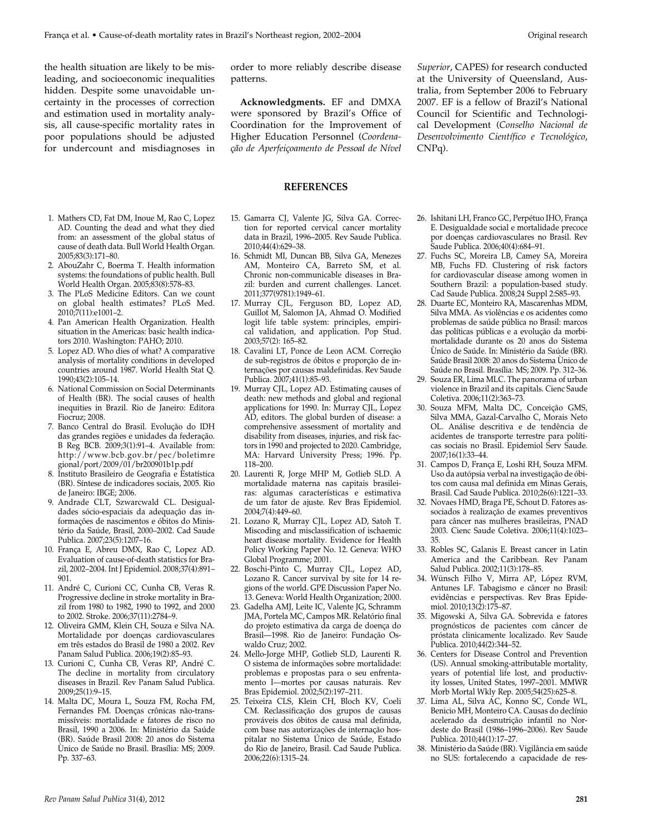**Publica França et al. • Cause-of-death more in the search of the search of the search of the search of the search of the search of the search of the search of the search of the search of the search of the search of the s** leading, and socioeconomic inequalities hidden. Despite some unavoidable uncertainty in the processes of correction and estimation used in mortality analysis, all cause-specific mortality rates in poor populations should be adjusted for undercount and misdiagnoses in

- 1. Mathers CD, Fat DM, Inoue M, Rao C, Lopez AD. Counting the dead and what they died from: an assessment of the global status of cause of death data. Bull World Health Organ. 2005;83(3):171–80.
- 2. AbouZahr C, Boerma T. Health information systems: the foundations of public health. Bull World Health Organ. 2005;83(8):578–83.
- 3. The PLoS Medicine Editors. Can we count on global health estimates? PLoS Med. 2010;7(11):e1001–2.
- 4. Pan American Health Organization. Health situation in the Americas: basic health indicators 2010. Washington: PAHO; 2010.
- 5. Lopez AD. Who dies of what? A comparative analysis of mortality conditions in developed countries around 1987. World Health Stat Q. 1990;43(2):105–14.
- 6. National Commission on Social Determinants of Health (BR). The social causes of health inequities in Brazil. Rio de Janeiro: Editora Fiocruz; 2008.
- 7. Banco Central do Brasil. Evolução do IDH das grandes regiões e unidades da federação. B Reg BCB. 2009;3(1):91-4. Available from: http://www.bcb.gov.br/pec/boletimre gional/port/2009/01/br200901b1p.pdf
- 8. Instituto Brasileiro de Geografia e Estatística (BR). Síntese de indicadores sociais, 2005. Rio de Janeiro: IBGE; 2006.
- 9. Andrade CLT, Szwarcwald CL. Desigualdades sócio-espaciais da adequação das informações de nascimentos e óbitos do Ministério da Saúde, Brasil, 2000–2002*.* Cad Saude Publica. 2007;23(5):1207–16.
- 10. França E, Abreu DMX, Rao C, Lopez AD. Evaluation of cause-of-death statistics for Brazil, 2002–2004. Int J Epidemiol. 2008;37(4):891– 901.
- 11. André C, Curioni CC, Cunha CB, Veras R. Progressive decline in stroke mortality in Brazil from 1980 to 1982, 1990 to 1992, and 2000 to 2002. Stroke. 2006;37(11):2784–9.
- 12. Oliveira GMM, Klein CH, Souza e Silva NA. Mortalidade por doenças cardiovasculares em três estados do Brasil de 1980 a 2002. Rev Panam Salud Publica. 2006;19(2):85–93.
- 13. Curioni C, Cunha CB, Veras RP, André C. The decline in mortality from circulatory diseases in Brazil. Rev Panam Salud Publica. 2009;25(1):9–15.
- 14. Malta DC, Moura L, Souza FM, Rocha FM, Fernandes FM. Doenças crônicas não-transmissíveis: mortalidade e fatores de risco no Brasil, 1990 a 2006. In: Ministério da Saúde (BR). Saúde Brasil 2008: 20 anos do Sistema Ùnico de Saúde no Brasil. Brasília: MS; 2009. Pp. 337–63.

order to more reliably describe disease patterns.

**Acknowledgments.** EF and DMXA were sponsored by Brazil's Office of Coordination for the Improvement of Higher Education Personnel (*Coordenação de Aperfeiçoamento de Pessoal de Nível* 

#### **REFERENCES**

- 15. Gamarra CJ, Valente JG, Silva GA. Correction for reported cervical cancer mortality data in Brazil, 1996–2005. Rev Saude Publica. 2010;44(4):629–38.
- 16. Schmidt MI, Duncan BB, Silva GA, Menezes AM, Monteiro CA, Barreto SM, et al. Chronic non-communicable diseases in Brazil: burden and current challenges. Lancet. 2011;377(9781):1949–61.
- 17. Murray CJL, Ferguson BD, Lopez AD, Guillot M, Salomon JA, Ahmad O. Modified logit life table system: principles, empirical validation, and application. Pop Stud. 2003;57(2): 165–82.
- 18. Cavalini LT, Ponce de Leon ACM. Correção de sub-registros de óbitos e proporção de internações por causas maldefinidas. Rev Saude Publica. 2007;41(1):85–93.
- 19. Murray CJL, Lopez AD. Estimating causes of death: new methods and global and regional applications for 1990. In: Murray CJL, Lopez AD, editors. The global burden of disease: a comprehensive assessment of mortality and disability from diseases, injuries, and risk factors in 1990 and projected to 2020. Cambridge, MA: Harvard University Press; 1996. Pp. 118–200.
- 20. Laurenti R, Jorge MHP M, Gotlieb SLD. A mortalidade materna nas capitais brasileiras: algumas características e estimativa de um fator de ajuste. Rev Bras Epidemiol. 2004;7(4):449–60.
- 21. Lozano R, Murray CJL, Lopez AD, Satoh T. Miscoding and misclassification of ischaemic heart disease mortality. Evidence for Health Policy Working Paper No. 12. Geneva: WHO Global Programme; 2001.
- 22. Boschi-Pinto C, Murray CJL, Lopez AD, Lozano R. Cancer survival by site for 14 regions of the world. GPE Discussion Paper No. 13. Geneva: World Health Organization; 2000.
- 23. Gadelha AMJ, Leite IC, Valente JG, Schramm JMA, Portela MC, Campos MR. Relatório final do projeto estimativa da carga de doença do Brasil—1998. Rio de Janeiro: Fundação Oswaldo Cruz; 2002.
- 24. Mello-Jorge MHP, Gotlieb SLD, Laurenti R. O sistema de informações sobre mortalidade: problemas e propostas para o seu enfrentamento I—mortes por causas naturais. Rev Bras Epidemiol. 2002;5(2):197–211.
- 25. Teixeira CLS, Klein CH, Bloch KV, Coeli CM. Reclassificação dos grupos de causas prováveis dos óbitos de causa mal definida, com base nas autorizações de internação hospitalar no Sistema Único de Saúde, Estado do Rio de Janeiro, Brasil. Cad Saude Publica. 2006;22(6):1315–24.

*Superior*, CAPES) for research conducted at the University of Queensland, Australia, from September 2006 to February 2007. EF is a fellow of Brazil's National Council for Scientific and Technological Development (*Conselho Nacional de Desenvolvimento Científico e Tecnológico*, CNPq).

- 26. Ishitani LH, Franco GC, Perpétuo IHO, França E. Desigualdade social e mortalidade precoce por doenças cardiovasculares no Brasil. Rev Saude Publica. 2006;40(4):684–91.
- 27. Fuchs SC, Moreira LB, Camey SA, Moreira MB, Fuchs FD. Clustering of risk factors for cardiovascular disease among women in Southern Brazil: a population-based study. Cad Saude Publica. 2008;24 Suppl 2:S85–93.
- 28. Duarte EC, Monteiro RA, Mascarenhas MDM, Silva MMA. As violências e os acidentes como problemas de saúde pública no Brasil: marcos das políticas públicas e a evolução da morbimortalidade durante os 20 anos do Sistema Ùnico de Saúde. In: Ministério da Saúde (BR). Saúde Brasil 2008: 20 anos do Sistema Ùnico de Saúde no Brasil. Brasília: MS; 2009. Pp. 312–36.
- 29. Souza ER, Lima MLC. The panorama of urban violence in Brazil and its capitals. Cienc Saude Coletiva. 2006;11(2):363–73.
- 30. Souza MFM, Malta DC, Conceição GMS, Silva MMA, Gazal-Carvalho C, Morais Neto OL. Análise descritiva e de tendência de acidentes de transporte terrestre para políticas sociais no Brasil. Epidemiol Serv Saude. 2007;16(1):33–44.
- 31. Campos D, França E, Loshi RH, Souza MFM. Uso da autópsia verbal na investigação de óbitos com causa mal definida em Minas Gerais, Brasil. Cad Saude Publica. 2010;26(6):1221–33.
- 32. Novaes HMD, Braga PE, Schout D. Fatores associados à realização de exames preventivos para câncer nas mulheres brasileiras, PNAD 2003. Cienc Saude Coletiva. 2006;11(4):1023– 35.
- 33. Robles SC, Galanis E. Breast cancer in Latin America and the Caribbean. Rev Panam Salud Publica. 2002;11(3):178–85.
- 34. Wünsch Filho V, Mirra AP, López RVM, Antunes LF. Tabagismo e câncer no Brasil: evidências e perspectivas. Rev Bras Epidemiol. 2010;13(2):175–87.
- 35. Migowski A, Silva GA. Sobrevida e fatores prognósticos de pacientes com câncer de próstata clinicamente localizado. Rev Saude Publica. 2010;44(2):344–52.
- 36. Centers for Disease Control and Prevention (US). Annual smoking-attributable mortality, years of potential life lost, and productivity losses, United States, 1997–2001. MMWR Morb Mortal Wkly Rep. 2005;54(25):625–8.
- 37. Lima AL, Silva AC, Konno SC, Conde WL, Benicio MH, Monteiro CA. Causas do declínio acelerado da desnutrição infantil no Nordeste do Brasil (1986–1996–2006). Rev Saude Publica. 2010;44(1):17–27.
- 38. Ministério da Saúde (BR). Vigilância em saúde no SUS: fortalecendo a capacidade de res-